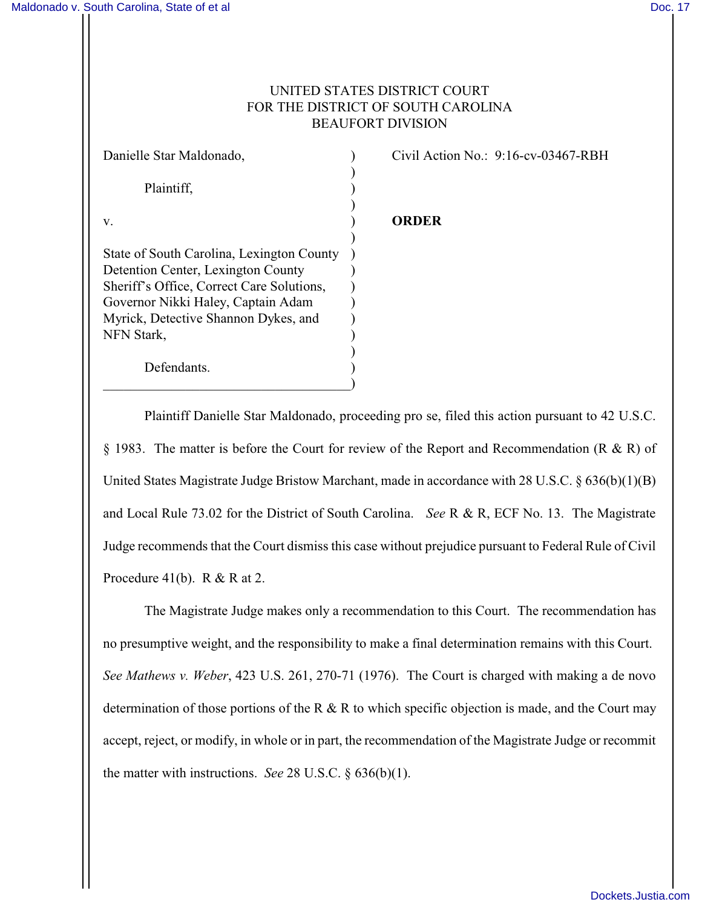## UNITED STATES DISTRICT COURT FOR THE DISTRICT OF SOUTH CAROLINA BEAUFORT DIVISION

| Danielle Star Maldonado,                  |  |
|-------------------------------------------|--|
|                                           |  |
| Plaintiff,                                |  |
|                                           |  |
| V.                                        |  |
|                                           |  |
| State of South Carolina, Lexington County |  |
| Detention Center, Lexington County        |  |
| Sheriff's Office, Correct Care Solutions, |  |
| Governor Nikki Haley, Captain Adam        |  |
| Myrick, Detective Shannon Dykes, and      |  |
| NFN Stark,                                |  |
| Defendants.                               |  |
|                                           |  |
|                                           |  |

Civil Action No.: 9:16-cv-03467-RBH

## v. ) **ORDER**

Plaintiff Danielle Star Maldonado, proceeding pro se, filed this action pursuant to 42 U.S.C. § 1983. The matter is before the Court for review of the Report and Recommendation (R & R) of United States Magistrate Judge Bristow Marchant, made in accordance with 28 U.S.C. § 636(b)(1)(B) and Local Rule 73.02 for the District of South Carolina. *See* R & R, ECF No. 13. The Magistrate Judge recommends that the Court dismiss this case without prejudice pursuant to Federal Rule of Civil Procedure 41(b).  $R & R$  at 2.

The Magistrate Judge makes only a recommendation to this Court. The recommendation has no presumptive weight, and the responsibility to make a final determination remains with this Court. *See Mathews v. Weber*, 423 U.S. 261, 270-71 (1976). The Court is charged with making a de novo determination of those portions of the R & R to which specific objection is made, and the Court may accept, reject, or modify, in whole or in part, the recommendation of the Magistrate Judge or recommit the matter with instructions. *See* 28 U.S.C. § 636(b)(1).